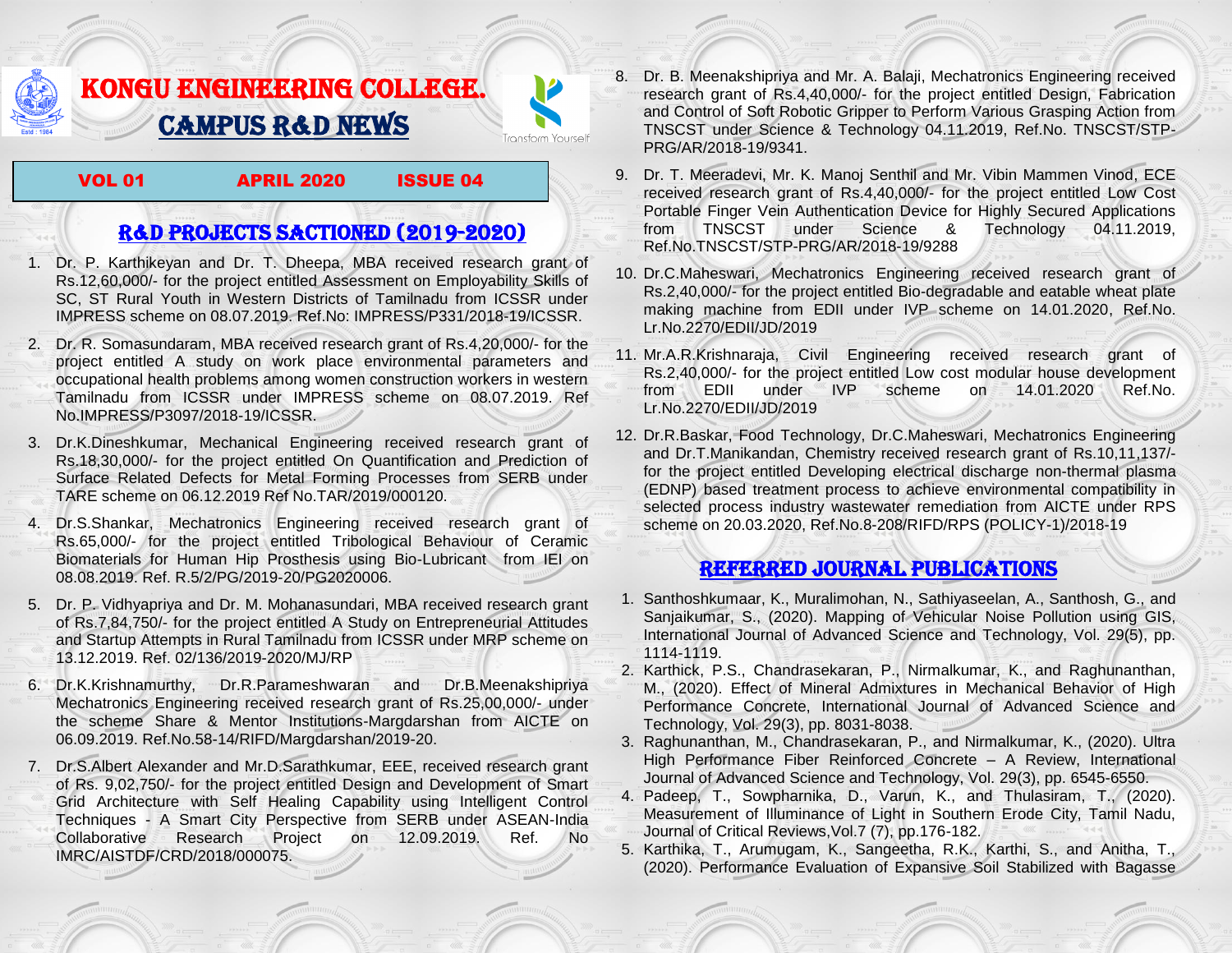## KONGU ENGINEERING COLLEGE. CAMPUS R&D NEWS

VOL 01 APRIL 2020 ISSUE 04

Transform Yourself

## R&D PROJECTS SACTIONED (2019-2020)

- 1. Dr. P. Karthikeyan and Dr. T. Dheepa, MBA received research grant of Rs.12,60,000/- for the project entitled Assessment on Employability Skills of SC, ST Rural Youth in Western Districts of Tamilnadu from ICSSR under IMPRESS scheme on 08.07.2019. Ref.No: IMPRESS/P331/2018-19/ICSSR.
- 2. Dr. R. Somasundaram, MBA received research grant of Rs.4,20,000/- for the project entitled A study on work place environmental parameters and occupational health problems among women construction workers in western Tamilnadu from ICSSR under IMPRESS scheme on 08.07.2019. Ref No.IMPRESS/P3097/2018-19/ICSSR.
- 3. Dr.K.Dineshkumar, Mechanical Engineering received research grant of Rs.18,30,000/- for the project entitled On Quantification and Prediction of Surface Related Defects for Metal Forming Processes from SERB under TARE scheme on 06.12.2019 Ref No.TAR/2019/000120.
- 4. Dr.S.Shankar, Mechatronics Engineering received research grant of Rs.65,000/- for the project entitled Tribological Behaviour of Ceramic Biomaterials for Human Hip Prosthesis using Bio-Lubricant from IEI on 08.08.2019. Ref. R.5/2/PG/2019-20/PG2020006.
- 5. Dr. P. Vidhyapriya and Dr. M. Mohanasundari, MBA received research grant of Rs.7,84,750/- for the project entitled A Study on Entrepreneurial Attitudes and Startup Attempts in Rural Tamilnadu from ICSSR under MRP scheme on 13.12.2019. Ref. 02/136/2019-2020/MJ/RP
- 6. Dr.K.Krishnamurthy, Dr.R.Parameshwaran and Dr.B.Meenakshipriya Mechatronics Engineering received research grant of Rs.25,00,000/- under the scheme Share & Mentor Institutions-Margdarshan from AICTE on 06.09.2019. Ref.No.58-14/RIFD/Margdarshan/2019-20.
- 7. Dr.S.Albert Alexander and Mr.D.Sarathkumar, EEE, received research grant of Rs. 9,02,750/- for the project entitled Design and Development of Smart Grid Architecture with Self Healing Capability using Intelligent Control Techniques - A Smart City Perspective from SERB under ASEAN-India Collaborative Research Project on 12.09.2019. Ref. No IMRC/AISTDF/CRD/2018/000075.
- 8. Dr. B. Meenakshipriya and Mr. A. Balaji, Mechatronics Engineering received research grant of Rs.4,40,000/- for the project entitled Design, Fabrication and Control of Soft Robotic Gripper to Perform Various Grasping Action from TNSCST under Science & Technology 04.11.2019, Ref.No. TNSCST/STP-PRG/AR/2018-19/9341.
- 9. Dr. T. Meeradevi, Mr. K. Manoj Senthil and Mr. Vibin Mammen Vinod, ECE received research grant of Rs.4,40,000/- for the project entitled Low Cost Portable Finger Vein Authentication Device for Highly Secured Applications from TNSCST under Science & Technology 04.11.2019, Ref.No.TNSCST/STP-PRG/AR/2018-19/9288
- 10. Dr.C.Maheswari, Mechatronics Engineering received research grant of Rs.2,40,000/- for the project entitled Bio-degradable and eatable wheat plate making machine from EDII under IVP scheme on 14.01.2020, Ref.No. Lr.No.2270/EDII/JD/2019
- 11. Mr.A.R.Krishnaraja, Civil Engineering received research grant of Rs.2,40,000/- for the project entitled Low cost modular house development from EDII under IVP scheme on 14.01.2020 Ref.No. Lr.No.2270/EDII/JD/2019
- 12. Dr.R.Baskar, Food Technology, Dr.C.Maheswari, Mechatronics Engineering and Dr.T.Manikandan, Chemistry received research grant of Rs.10,11,137/ for the project entitled Developing electrical discharge non-thermal plasma (EDNP) based treatment process to achieve environmental compatibility in selected process industry wastewater remediation from AICTE under RPS scheme on 20.03.2020, Ref.No.8-208/RIFD/RPS (POLICY-1)/2018-19

## Referred JOURNAL publications

- 1. Santhoshkumaar, K., Muralimohan, N., Sathiyaseelan, A., Santhosh, G., and Sanjaikumar, S., (2020). Mapping of Vehicular Noise Pollution using GIS, International Journal of Advanced Science and Technology, Vol. 29(5), pp. 1114-1119.
- 2. Karthick, P.S., Chandrasekaran, P., Nirmalkumar, K., and Raghunanthan, M., (2020). Effect of Mineral Admixtures in Mechanical Behavior of High Performance Concrete, International Journal of Advanced Science and Technology, Vol. 29(3), pp. 8031-8038.
- 3. Raghunanthan, M., Chandrasekaran, P., and Nirmalkumar, K., (2020). Ultra High Performance Fiber Reinforced Concrete – A Review, International Journal of Advanced Science and Technology, Vol. 29(3), pp. 6545-6550.
- 4. Padeep, T., Sowpharnika, D., Varun, K., and Thulasiram, T., (2020). Measurement of Illuminance of Light in Southern Erode City, Tamil Nadu, Journal of Critical Reviews,Vol.7 (7), pp.176-182.
- 5. Karthika, T., Arumugam, K., Sangeetha, R.K., Karthi, S., and Anitha, T., (2020). Performance Evaluation of Expansive Soil Stabilized with Bagasse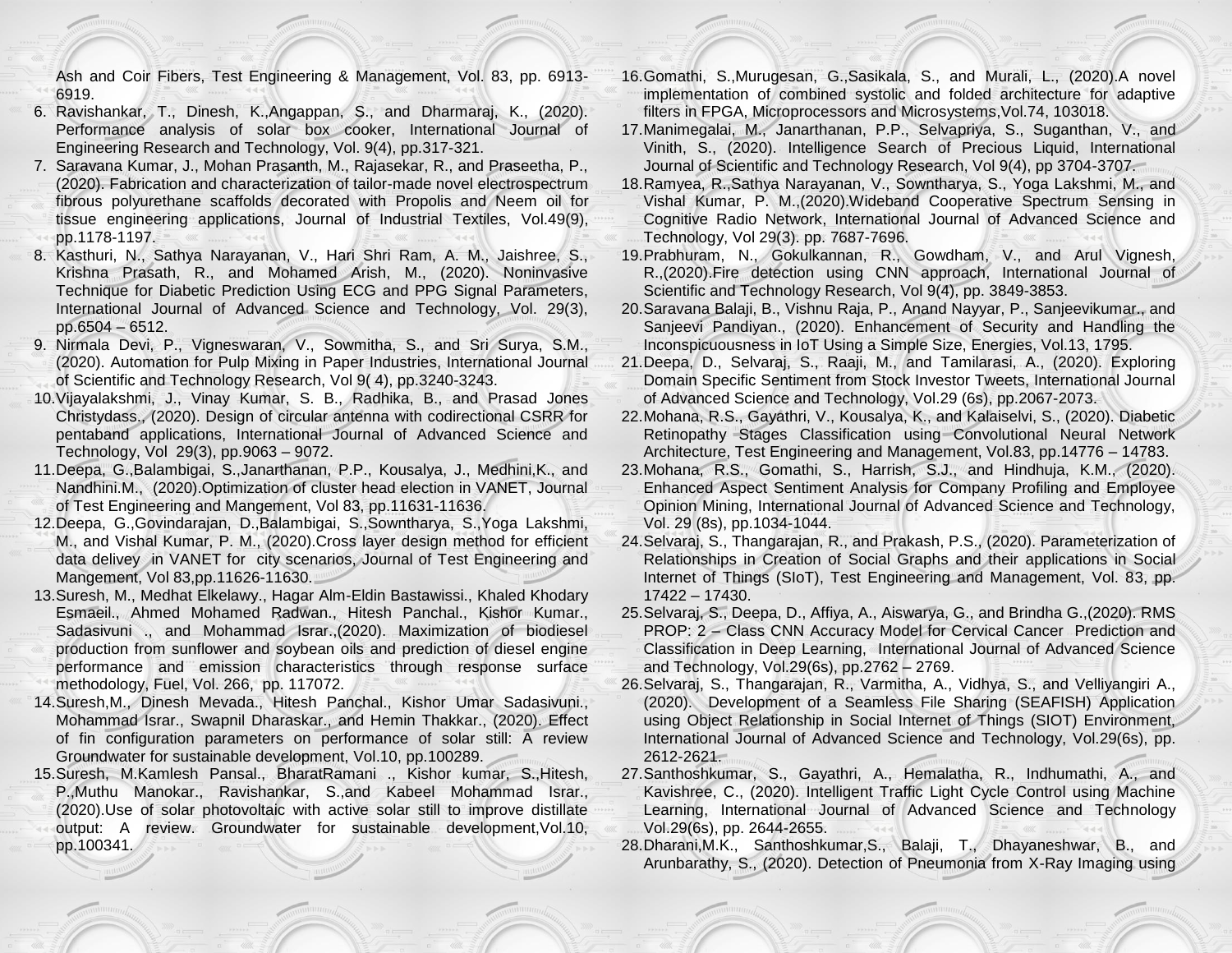Ash and Coir Fibers, Test Engineering & Management, Vol. 83, pp. 6913- 6919.

- 6. Ravishankar, T., Dinesh, K.,Angappan, S., and Dharmaraj, K., (2020). Performance analysis of solar box cooker, International Journal of Engineering Research and Technology, Vol. 9(4), pp.317-321.
- 7. Saravana Kumar, J., Mohan Prasanth, M., Rajasekar, R., and Praseetha, P., (2020). Fabrication and characterization of tailor-made novel electrospectrum fibrous polyurethane scaffolds decorated with Propolis and Neem oil for tissue engineering applications, Journal of Industrial Textiles, Vol.49(9), pp.1178-1197.
- 8. Kasthuri, N., Sathya Narayanan, V., Hari Shri Ram, A. M., Jaishree, S., Krishna Prasath, R., and Mohamed Arish, M., (2020). Noninvasive Technique for Diabetic Prediction Using ECG and PPG Signal Parameters, International Journal of Advanced Science and Technology, Vol. 29(3), pp.6504 – 6512.
- 9. Nirmala Devi, P., Vigneswaran, V., Sowmitha, S., and Sri Surya, S.M., (2020). Automation for Pulp Mixing in Paper Industries, International Journal of Scientific and Technology Research, Vol 9( 4), pp.3240-3243.
- 10.Vijayalakshmi, J., Vinay Kumar, S. B., Radhika, B., and Prasad Jones Christydass., (2020). Design of circular antenna with codirectional CSRR for pentaband applications, International Journal of Advanced Science and Technology, Vol 29(3), pp.9063 – 9072.
- 11.Deepa, G.,Balambigai, S.,Janarthanan, P.P., Kousalya, J., Medhini,K., and Nandhini.M., (2020).Optimization of cluster head election in VANET, Journal of Test Engineering and Mangement, Vol 83, pp.11631-11636.
- 12.Deepa, G.,Govindarajan, D.,Balambigai, S.,Sowntharya, S.,Yoga Lakshmi, M., and Vishal Kumar, P. M., (2020).Cross layer design method for efficient data delivey in VANET for city scenarios, Journal of Test Engineering and Mangement, Vol 83,pp.11626-11630.
- 13.Suresh, M., Medhat Elkelawy., Hagar Alm-Eldin Bastawissi., Khaled Khodary Esmaeil., Ahmed Mohamed Radwan., Hitesh Panchal., Kishor Kumar., Sadasivuni ., and Mohammad Israr.,(2020). Maximization of biodiesel production from sunflower and soybean oils and prediction of diesel engine performance and emission characteristics through response surface methodology, Fuel, Vol. 266, pp. 117072.
- 14.Suresh,M., Dinesh Mevada., Hitesh Panchal., [Kishor Umar Sadasivuni.,](https://www.sciencedirect.com/science/article/pii/S2352801X19303042#!) [Mohammad Israr.,](https://www.sciencedirect.com/science/article/pii/S2352801X19303042#!) [Swapnil Dharaskar.,](https://www.sciencedirect.com/science/article/pii/S2352801X19303042#!) and Hemin Thakkar., (2020). Effect of fin configuration parameters on performance of solar still: A review Groundwater for sustainable development, Vol.10, pp.100289.
- 15.Suresh, M.Kamlesh Pansal., [BharatRamani .](https://www.sciencedirect.com/science/article/pii/S2352801X19303935#!), [Kishor kumar, S.,H](https://www.sciencedirect.com/science/article/pii/S2352801X19303935#!)itesh, P.[,Muthu Manokar.](https://www.sciencedirect.com/science/article/pii/S2352801X19303935#!), Ravishankar, S.,and Kabeel Mohammad Israr., (2020).Use of solar photovoltaic with active solar still to improve distillate output: A review. Groundwater for sustainable development, Vol.10, pp.100341.
- 16.Gomathi, S.,Murugesan, G.,Sasikala, S., and Murali, L., (2020).A novel implementation of combined systolic and folded architecture for adaptive filters in FPGA, [Microprocessors and Microsystems](https://www.sciencedirect.com/science/journal/01419331), Vol.74, 103018.
- 17.Manimegalai, M., Janarthanan, P.P., Selvapriya, S., Suganthan, V., and Vinith, S., (2020). Intelligence Search of Precious Liquid, International Journal of Scientific and Technology Research, Vol 9(4), pp 3704-3707.
- 18.Ramyea, R.,Sathya Narayanan, V., Sowntharya, S., Yoga Lakshmi, M., and Vishal Kumar, P. M.,(2020).Wideband Cooperative Spectrum Sensing in Cognitive Radio Network, International Journal of Advanced Science and Technology, Vol 29(3). pp. 7687-7696.
- 19.Prabhuram, N., Gokulkannan, R., Gowdham, V., and Arul Vignesh, R.,(2020).Fire detection using CNN approach, International Journal of Scientific and Technology Research, Vol 9(4), pp. 3849-3853.
- 20.Saravana Balaji, B., Vishnu Raja, P., Anand Nayyar, P., Sanjeevikumar., and Sanjeevi Pandiyan., (2020). Enhancement of Security and Handling the Inconspicuousness in IoT Using a Simple Size, Energies, Vol.13, 1795.
- 21.Deepa, D., Selvaraj, S., Raaji, M., and Tamilarasi, A., (2020). Exploring Domain Specific Sentiment from Stock Investor Tweets, International Journal of Advanced Science and Technology, Vol.29 (6s), pp.2067-2073.
- 22.Mohana, R.S., Gayathri, V., Kousalya, K., and Kalaiselvi, S., (2020). Diabetic Retinopathy Stages Classification using Convolutional Neural Network Architecture, Test Engineering and Management, Vol.83, pp.14776 – 14783.
- 23.Mohana, R.S., Gomathi, S., Harrish, S.J., and Hindhuja, K.M., (2020). Enhanced Aspect Sentiment Analysis for Company Profiling and Employee Opinion Mining, International Journal of Advanced Science and Technology, Vol. 29 (8s), pp.1034-1044.
- 24.Selvaraj, S., Thangarajan, R., and Prakash, P.S., (2020). Parameterization of Relationships in Creation of Social Graphs and their applications in Social Internet of Things (SIoT), Test Engineering and Management, Vol. 83, pp. 17422 – 17430.
- 25.Selvaraj, S., Deepa, D., Affiya, A., Aiswarya, G., and Brindha G.,(2020). RMS PROP: 2 – Class CNN Accuracy Model for Cervical Cancer Prediction and Classification in Deep Learning, International Journal of Advanced Science and Technology, Vol.29(6s), pp.2762 – 2769.
- 26.Selvaraj, S., Thangarajan, R., Varmitha, A., Vidhya, S., and Velliyangiri A., (2020). Development of a Seamless File Sharing (SEAFISH) Application using Object Relationship in Social Internet of Things (SIOT) Environment, International Journal of Advanced Science and Technology, Vol.29(6s), pp. 2612-2621.
- 27.Santhoshkumar, S., Gayathri, A., Hemalatha, R., Indhumathi, A., and Kavishree, C., (2020). Intelligent Traffic Light Cycle Control using Machine Learning, International Journal of Advanced Science and Technology Vol.29(6s), pp. 2644-2655.
- 28.Dharani,M.K., Santhoshkumar,S., Balaji, T., Dhayaneshwar, B., and Arunbarathy, S., (2020). Detection of Pneumonia from X-Ray Imaging using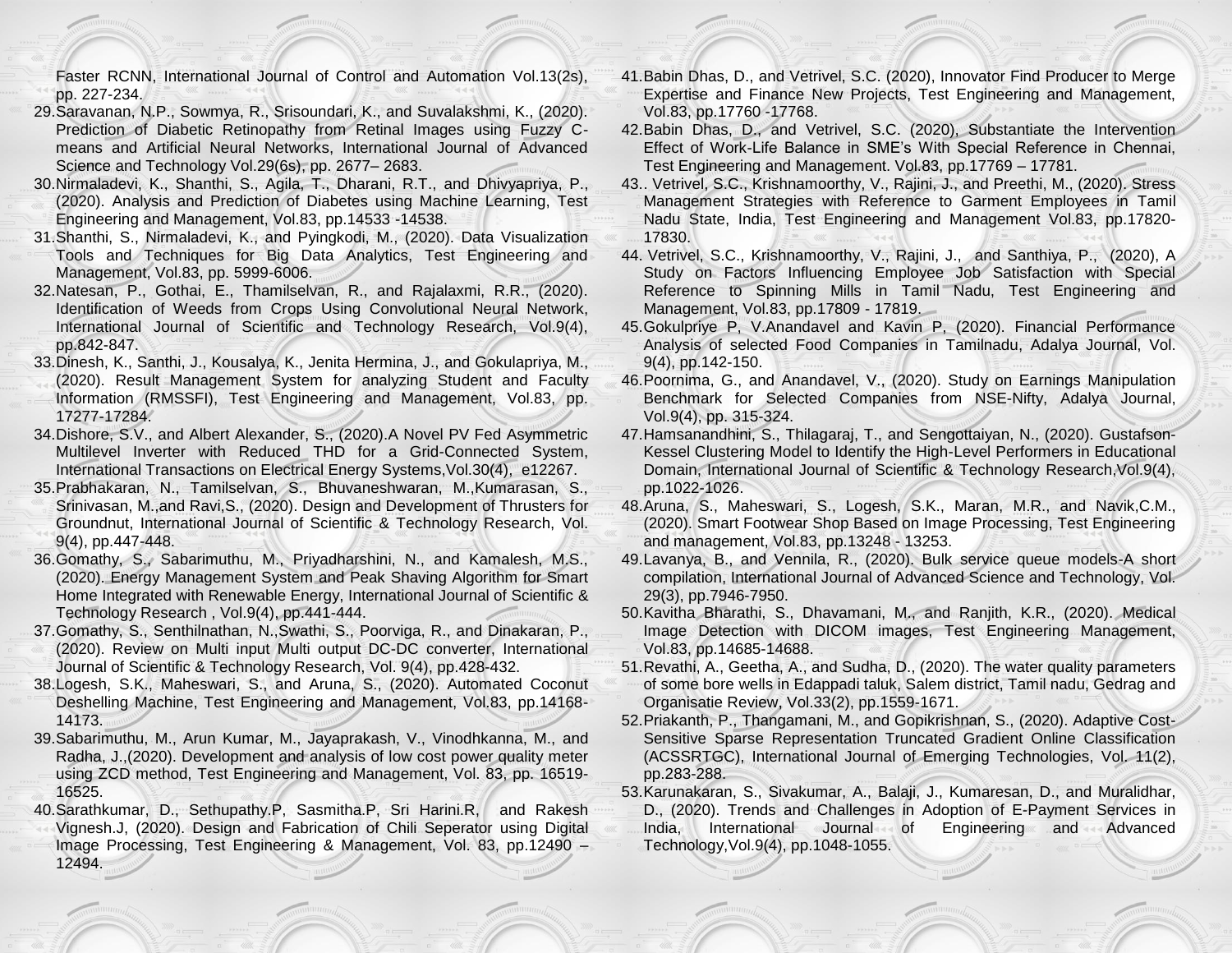Faster RCNN, International Journal of Control and Automation Vol.13(2s), pp. 227-234.

- 29.Saravanan, N.P., Sowmya, R., Srisoundari, K., and Suvalakshmi, K., (2020). Prediction of Diabetic Retinopathy from Retinal Images using Fuzzy Cmeans and Artificial Neural Networks, International Journal of Advanced Science and Technology Vol.29(6s), pp. 2677– 2683.
- 30.Nirmaladevi, K., Shanthi, S., Agila, T., Dharani, R.T., and Dhivyapriya, P., (2020). Analysis and Prediction of Diabetes using Machine Learning, Test Engineering and Management, Vol.83, pp.14533 -14538.
- 31.Shanthi, S., Nirmaladevi, K., and Pyingkodi, M., (2020). Data Visualization Tools and Techniques for Big Data Analytics, Test Engineering and Management, Vol.83, pp. 5999-6006.
- 32.Natesan, P., Gothai, E., Thamilselvan, R., and Rajalaxmi, R.R., (2020). Identification of Weeds from Crops Using Convolutional Neural Network, International Journal of Scientific and Technology Research, Vol.9(4), pp.842-847.
- 33.Dinesh, K., Santhi, J., Kousalya, K., Jenita Hermina, J., and Gokulapriya, M., (2020). Result Management System for analyzing Student and Faculty Information (RMSSFI), Test Engineering and Management, Vol.83, pp. 17277-17284.
- 34.Dishore, S.V., and Albert Alexander, S., (2020).A Novel PV Fed Asymmetric Multilevel Inverter with Reduced THD for a Grid-Connected System, International Transactions on Electrical Energy Systems,Vol.30(4), e12267.
- 35.Prabhakaran, N., Tamilselvan, S., Bhuvaneshwaran, M.,Kumarasan, S., Srinivasan, M.,and Ravi,S., (2020). Design and Development of Thrusters for Groundnut, International Journal of Scientific & Technology Research, Vol. 9(4), pp.447-448.
- 36.Gomathy, S., Sabarimuthu, M., Priyadharshini, N., and Kamalesh, M.S., (2020). Energy Management System and Peak Shaving Algorithm for Smart Home Integrated with Renewable Energy, International Journal of Scientific & Technology Research , Vol.9(4), pp.441-444.
- 37.Gomathy, S., Senthilnathan, N.,Swathi, S., Poorviga, R., and Dinakaran, P., (2020). Review on Multi input Multi output DC-DC converter, International Journal of Scientific & Technology Research, Vol. 9(4), pp.428-432.
- 38.Logesh, S.K., Maheswari, S., and Aruna, S., (2020). Automated Coconut Deshelling Machine, Test Engineering and Management, Vol.83, pp.14168- 14173.
- 39.Sabarimuthu, M., Arun Kumar, M., Jayaprakash, V., Vinodhkanna, M., and Radha, J.,(2020). Development and analysis of low cost power quality meter using ZCD method, Test Engineering and Management, Vol. 83, pp. 16519- 16525.
- 40.Sarathkumar, D., Sethupathy.P, Sasmitha.P, Sri Harini.R, and Rakesh Vignesh.J, (2020). Design and Fabrication of Chili Seperator using Digital Image Processing, Test Engineering & Management, Vol. 83, pp.12490 – 12494.
- 41.Babin Dhas, D., and Vetrivel, S.C. (2020), Innovator Find Producer to Merge Expertise and Finance New Projects, Test Engineering and Management, Vol.83, pp.17760 -17768.
- 42.Babin Dhas, D., and Vetrivel, S.C. (2020), Substantiate the Intervention Effect of Work-Life Balance in SME's With Special Reference in Chennai, Test Engineering and Management. Vol.83, pp.17769 – 17781.
- 43.. Vetrivel, S.C., Krishnamoorthy, V., Rajini, J., and Preethi, M., (2020). Stress Management Strategies with Reference to Garment Employees in Tamil Nadu State, India, Test Engineering and Management Vol.83, pp.17820- 17830.
- 44. Vetrivel, S.C., Krishnamoorthy, V., Rajini, J., and Santhiya, P., (2020), A Study on Factors Influencing Employee Job Satisfaction with Special Reference to Spinning Mills in Tamil Nadu, Test Engineering and Management, Vol.83, pp.17809 - 17819.
- 45.Gokulpriye P, V.Anandavel and Kavin P, (2020). Financial Performance Analysis of selected Food Companies in Tamilnadu, Adalya Journal, Vol. 9(4), pp.142-150.
- 46.Poornima, G., and Anandavel, V., (2020). Study on Earnings Manipulation Benchmark for Selected Companies from NSE-Nifty, Adalya Journal, Vol.9(4), pp. 315-324.
- 47.Hamsanandhini, S., Thilagaraj, T., and Sengottaiyan, N., (2020). Gustafson-Kessel Clustering Model to Identify the High-Level Performers in Educational Domain, International Journal of Scientific & Technology Research,Vol.9(4), pp.1022-1026.
- 48.Aruna, S., Maheswari, S., Logesh, S.K., Maran, M.R., and Navik,C.M., (2020). Smart Footwear Shop Based on Image Processing, Test Engineering and management, Vol.83, pp.13248 - 13253.
- 49.Lavanya, B., and Vennila, R., (2020). Bulk service queue models-A short compilation, International Journal of Advanced Science and Technology, Vol. 29(3), pp.7946-7950.
- 50.Kavitha Bharathi, S., Dhavamani, M., and Ranjith, K.R., (2020). Medical Image Detection with DICOM images, Test Engineering Management, Vol.83, pp.14685-14688.
- 51.Revathi, A., Geetha, A., and Sudha, D., (2020). The water quality parameters of some bore wells in Edappadi taluk, Salem district, Tamil nadu, Gedrag and Organisatie Review, Vol.33(2), pp.1559-1671.
- 52.Priakanth, P., Thangamani, M., and Gopikrishnan, S., (2020). Adaptive Cost-Sensitive Sparse Representation Truncated Gradient Online Classification (ACSSRTGC), International Journal of Emerging Technologies, Vol. 11(2), pp.283-288.
- 53.Karunakaran, S., Sivakumar, A., Balaji, J., Kumaresan, D., and Muralidhar, D., (2020). Trends and Challenges in Adoption of E-Payment Services in India, International Journal of Engineering and Advanced Technology,Vol.9(4), pp.1048-1055.